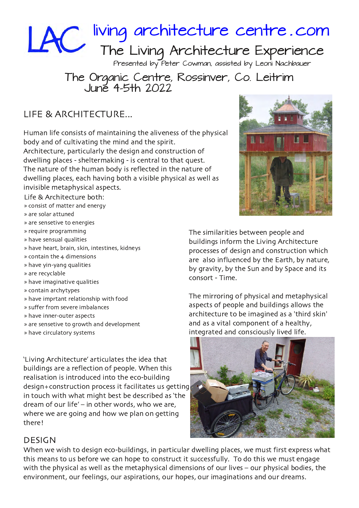

## Presented by Peter Cowman, assisted by Leoni Nachbauer

## The Organic Centre, Rossinver, Co. Leitrim June 45th 2022

## LIFE & ARCHITECTURE...

Human life consists of maintaining the aliveness of the physical body and of cultivating the mind and the spirit. Architecture, particularly the design and construction of dwelling places - sheltermaking - is central to that quest. The nature of the human body is reflected in the nature of

dwelling places, each having both a visible physical as well as invisible metaphysical aspects.

Life & Architecture both:

- » consist of matter and energy
- » are solar attuned
- $*$  are sensetive to energies
- » require programming
- » have sensual qualities
- » have heart, brain, skin, intestines, kidneys
- $*$  contain the 4 dimensions
- » have yin-yang qualities
- » are recyclable
- » have imaginative qualities
- » contain archytypes
- » have imprtant relationship with food
- » suffer from severe imbalances
- » have inner-outer aspects
- » are sensetive to growth and development
- » have circulatory systems

'Living Architecture' articulates the idea that buildings are a reflection of people. When this realisation is introduced into the eco-building design+construction process it facilitates us getting in touch with what might best be described as 'the dream of our life'  $-$  in other words, who we are, where we are going and how we plan on getting there!



The similarities between people and buildings inform the Living Architecture processes of design and construction which are also influenced by the Earth, by nature, by gravity, by the Sun and by Space and its consort - Time.

The mirroring of physical and metaphysical aspects of people and buildings allows the architecture to be imagined as a 'third skin' and as a vital component of a healthy, integrated and consciously lived life.



## **DESIGN**

When we wish to design eco-buildings, in particular dwelling places, we must first express what this means to us before we can hope to construct it successfully. To do this we must engage with the physical as well as the metaphysical dimensions of our lives - our physical bodies, the environment, our feelings, our aspirations, our hopes, our imaginations and our dreams.